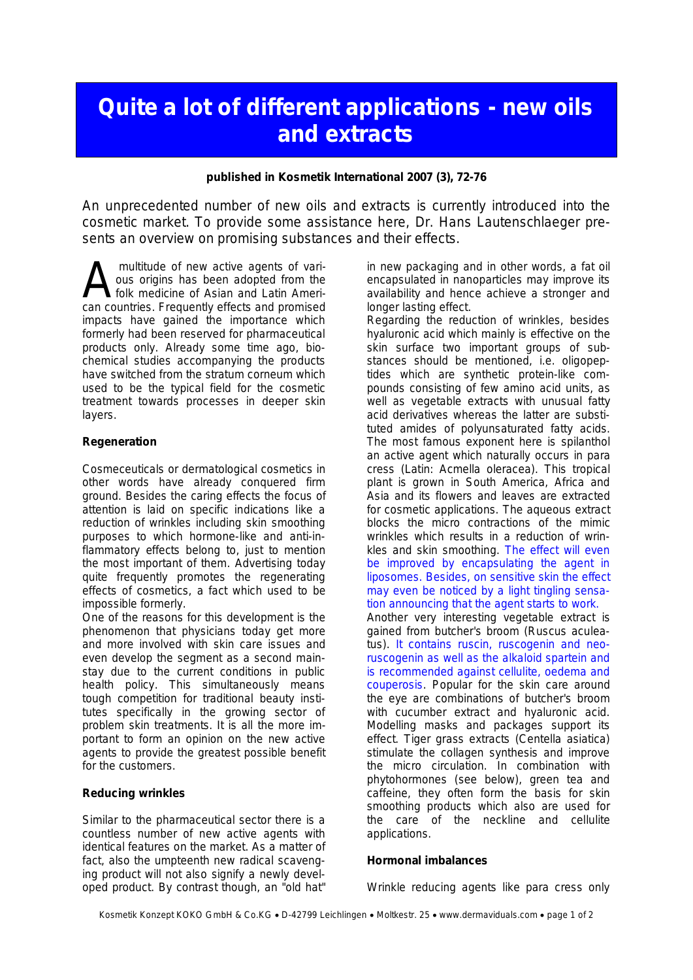# **Quite a lot of different applications - new oils and extracts**

**published in Kosmetik International 2007 (3), 72-76**

An unprecedented number of new oils and extracts is currently introduced into the cosmetic market. To provide some assistance here, Dr. Hans Lautenschlaeger presents an overview on promising substances and their effects.

 multitude of new active agents of various origins has been adopted from the folk medicine of Asian and Latin Ameri-**A** multitude of new active agents of various origins has been adopted from the folk medicine of Asian and Latin American countries. Frequently effects and promised impacts have gained the importance which formerly had been reserved for pharmaceutical products only. Already some time ago, biochemical studies accompanying the products have switched from the stratum corneum which used to be the typical field for the cosmetic treatment towards processes in deeper skin layers.

# **Regeneration**

Cosmeceuticals or dermatological cosmetics in other words have already conquered firm ground. Besides the caring effects the focus of attention is laid on specific indications like a reduction of wrinkles including skin smoothing purposes to which hormone-like and anti-inflammatory effects belong to, just to mention the most important of them. Advertising today quite frequently promotes the regenerating effects of cosmetics, a fact which used to be impossible formerly.

One of the reasons for this development is the phenomenon that physicians today get more and more involved with skin care issues and even develop the segment as a second mainstay due to the current conditions in public health policy. This simultaneously means tough competition for traditional beauty institutes specifically in the growing sector of problem skin treatments. It is all the more important to form an opinion on the new active agents to provide the greatest possible benefit for the customers.

# **Reducing wrinkles**

Similar to the pharmaceutical sector there is a countless number of new active agents with identical features on the market. As a matter of fact, also the umpteenth new radical scavenging product will not also signify a newly developed product. By contrast though, an "old hat"

in new packaging and in other words, a fat oil encapsulated in nanoparticles may improve its availability and hence achieve a stronger and longer lasting effect.

Regarding the reduction of wrinkles, besides hyaluronic acid which mainly is effective on the skin surface two important groups of substances should be mentioned, i.e. oligopeptides which are synthetic protein-like compounds consisting of few amino acid units, as well as vegetable extracts with unusual fatty acid derivatives whereas the latter are substituted amides of polyunsaturated fatty acids. The most famous exponent here is spilanthol an active agent which naturally occurs in para cress (Latin: Acmella oleracea). This tropical plant is grown in South America, Africa and Asia and its flowers and leaves are extracted for cosmetic applications. The aqueous extract blocks the micro contractions of the mimic wrinkles which results in a reduction of wrinkles and skin smoothing. The effect will even be improved by encapsulating the agent in liposomes. Besides, on sensitive skin the effect may even be noticed by a light tingling sensation announcing that the agent starts to work.

Another very interesting vegetable extract is gained from butcher's broom (Ruscus aculeatus). It contains ruscin, ruscogenin and neoruscogenin as well as the alkaloid spartein and is recommended against cellulite, oedema and couperosis. Popular for the skin care around the eye are combinations of butcher's broom with cucumber extract and hyaluronic acid. Modelling masks and packages support its effect. Tiger grass extracts (Centella asiatica) stimulate the collagen synthesis and improve the micro circulation. In combination with phytohormones (see below), green tea and caffeine, they often form the basis for skin smoothing products which also are used for the care of the neckline and cellulite applications.

# **Hormonal imbalances**

Wrinkle reducing agents like para cress only